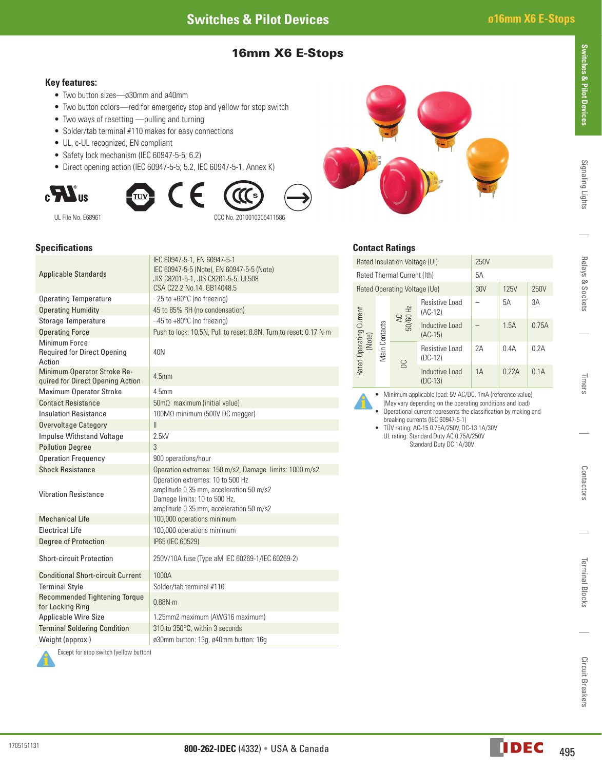# 16mm X6 E-Stops

#### **Key features:**

- Two button sizes—ø30mm and ø40mm
- Two button colors—red for emergency stop and yellow for stop switch
- Two ways of resetting —pulling and turning
- Solder/tab terminal #110 makes for easy connections
- UL, c-UL recognized, EN compliant
- Safety lock mechanism (IEC 60947-5-5; 6.2)
- Direct opening action (IEC 60947-5-5; 5.2, IEC 60947-5-1, Annex K)







#### **Specifications**

| <b>Applicable Standards</b>                                     | IEC 60947-5-1, EN 60947-5-1<br>IEC 60947-5-5 (Note), EN 60947-5-5 (Note)<br>JIS C8201-5-1, JIS C8201-5-5, UL508<br>CSA C22.2 No.14, GB14048.5          |  |  |  |  |
|-----------------------------------------------------------------|--------------------------------------------------------------------------------------------------------------------------------------------------------|--|--|--|--|
| <b>Operating Temperature</b>                                    | $-25$ to +60 $^{\circ}$ C (no freezing)                                                                                                                |  |  |  |  |
| <b>Operating Humidity</b>                                       | 45 to 85% RH (no condensation)                                                                                                                         |  |  |  |  |
| <b>Storage Temperature</b>                                      | $-45$ to $+80^{\circ}$ C (no freezing)                                                                                                                 |  |  |  |  |
| <b>Operating Force</b>                                          | Push to lock: 10.5N, Pull to reset: 8.8N, Turn to reset: 0.17 N·m                                                                                      |  |  |  |  |
| Minimum Force<br><b>Required for Direct Opening</b><br>Action   | 40N                                                                                                                                                    |  |  |  |  |
| Minimum Operator Stroke Re-<br>quired for Direct Opening Action | 4.5mm                                                                                                                                                  |  |  |  |  |
| <b>Maximum Operator Stroke</b>                                  | 45mm                                                                                                                                                   |  |  |  |  |
| <b>Contact Resistance</b>                                       | $50 \text{m}\Omega$ maximum (initial value)                                                                                                            |  |  |  |  |
| <b>Insulation Resistance</b>                                    | 100MΩ minimum (500V DC megger)                                                                                                                         |  |  |  |  |
| <b>Overvoltage Category</b>                                     | Ш                                                                                                                                                      |  |  |  |  |
| <b>Impulse Withstand Voltage</b>                                | 2.5kV                                                                                                                                                  |  |  |  |  |
| <b>Pollution Degree</b>                                         | 3                                                                                                                                                      |  |  |  |  |
| <b>Operation Frequency</b>                                      | 900 operations/hour                                                                                                                                    |  |  |  |  |
| <b>Shock Resistance</b>                                         | Operation extremes: 150 m/s2, Damage limits: 1000 m/s2                                                                                                 |  |  |  |  |
| <b>Vibration Resistance</b>                                     | Operation extremes: 10 to 500 Hz<br>amplitude 0.35 mm, acceleration 50 m/s2<br>Damage limits: 10 to 500 Hz,<br>amplitude 0.35 mm, acceleration 50 m/s2 |  |  |  |  |
| <b>Mechanical Life</b>                                          | 100,000 operations minimum                                                                                                                             |  |  |  |  |
| <b>Electrical Life</b>                                          | 100,000 operations minimum                                                                                                                             |  |  |  |  |
| <b>Degree of Protection</b>                                     | IP65 (IEC 60529)                                                                                                                                       |  |  |  |  |
| <b>Short-circuit Protection</b>                                 | 250V/10A fuse (Type aM IEC 60269-1/IEC 60269-2)                                                                                                        |  |  |  |  |
| <b>Conditional Short-circuit Current</b>                        | 1000A                                                                                                                                                  |  |  |  |  |
| <b>Terminal Style</b>                                           | Solder/tab terminal #110                                                                                                                               |  |  |  |  |
| <b>Recommended Tightening Torque</b><br>for Locking Ring        | 0.88N·m                                                                                                                                                |  |  |  |  |
| <b>Applicable Wire Size</b>                                     | 1.25mm2 maximum (AWG16 maximum)                                                                                                                        |  |  |  |  |
| <b>Terminal Soldering Condition</b>                             | 310 to 350°C, within 3 seconds                                                                                                                         |  |  |  |  |
| Weight (approx.)                                                | ø30mm button: 13g, ø40mm button: 16g                                                                                                                   |  |  |  |  |
| Except for stop switch (yellow button)                          |                                                                                                                                                        |  |  |  |  |

# **Contact Ratings**

|  |                                                    | ommon namna |                                      |                             |             |       |       |
|--|----------------------------------------------------|-------------|--------------------------------------|-----------------------------|-------------|-------|-------|
|  | Rated Insulation Voltage (Ui)                      |             |                                      | 250V                        |             |       |       |
|  | Rated Thermal Current (Ith)                        |             |                                      | 5A                          |             |       |       |
|  | Rated Operating Voltage (Ue)                       |             |                                      | 30V                         | <b>125V</b> | 250V  |       |
|  | Rated Operating Current<br>(Note)<br>Main Contacts |             | $\frac{\text{A C}}{\text{50/60 Hz}}$ | Resistive Load<br>$(AC-12)$ |             | 5A    | 3A    |
|  |                                                    |             |                                      | Inductive Load<br>$(AC-15)$ |             | 1.5A  | 0.75A |
|  |                                                    |             | <b>DC</b>                            | Resistive Load<br>$(DC-12)$ | 2A          | 0.4A  | 0.2A  |
|  |                                                    |             |                                      | Inductive Load<br>$(DC-13)$ | 1A          | 0.22A | 0.1A  |

• Minimum applicable load: 5V AC/DC, 1mA (reference value)

- (May vary depending on the operating conditions and load)
	- Operational current represents the classification by making and breaking currents (IEC 60947-5-1)
	- TÜV rating: AC-15 0.75A/250V, DC-13 1A/30V UL rating: Standard Duty AC 0.75A/250V Standard Duty DC 1A/30V

Terminal Blocks

**Terminal Blocks** 

1705151131

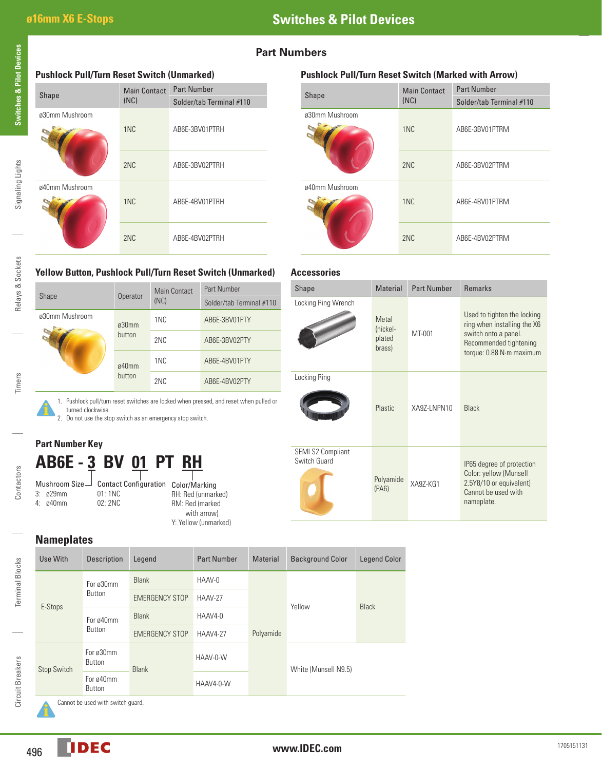# **Part Numbers**

**Accessories**

# **Pushlock Pull/Turn Reset Switch (Unmarked) Pushlock Pull/Turn Reset Switch (Marked with Arrow)** Shape Main Contact (NC) Part Number Solder/tab Terminal #110 ø30mm Mushroom 1NC AB6E-3BV01PTRH 2NC AB6E-3BV02PTRH 2NC AB6E-3BV02PTRM ø40mm Mushroom 1NC AB6E-4BV01PTRH 2NC AB6E-4BV02PTRH 2NC AB6E-4BV02PTRM

| <b>Shape</b>   | <b>Main Contact</b><br>(NC) |                                            |
|----------------|-----------------------------|--------------------------------------------|
| ø30mm Mushroom | 1 <sub>NC</sub>             | Solder/tab Terminal #110<br>AB6E-3BV01PTRM |
|                | 2NC                         | AB6E-3BV02PTRM                             |
| ø40mm Mushroom | 1 <sub>NC</sub>             | AB6E-4BV01PTRM                             |
|                | 2NC                         | AB6E-4BV02PTRM                             |

# **Yellow Button, Pushlock Pull/Turn Reset Switch (Unmarked)**

| Shape          | Operator        | Main Contact    | Part Number              |  |
|----------------|-----------------|-----------------|--------------------------|--|
|                |                 | (NC)            | Solder/tab Terminal #110 |  |
| ø30mm Mushroom | ø30mm<br>button | 1NC             | AB6E-3BV01PTY            |  |
|                |                 | 2NC             | AB6E-3BV02PTY            |  |
|                | ø40mm<br>button | 1NC             | AB6E-4BV01PTY            |  |
|                |                 | 2 <sub>NC</sub> | AB6E-4BV02PTY            |  |

1. Pushlock pull/turn reset switches are locked when pressed, and reset when pulled or

| Shape                             | <b>Material</b>                       | <b>Part Number</b> | <b>Remarks</b>                                                                                                                           |
|-----------------------------------|---------------------------------------|--------------------|------------------------------------------------------------------------------------------------------------------------------------------|
| Locking Ring Wrench               | Metal<br>(nickel-<br>plated<br>brass) | MT-001             | Used to tighten the locking<br>ring when installing the X6<br>switch onto a panel.<br>Recommended tightening<br>torque: 0.88 N·m maximum |
| Locking Ring                      | Plastic                               | XA9Z-LNPN10        | Black                                                                                                                                    |
| SEMI S2 Compliant<br>Switch Guard | Polyamide<br>(PAB)                    | XA97-KG1           | IP65 degree of protection<br>Color: yellow (Munsell<br>2.5Y8/10 or equivalent)<br>Cannot be used with<br>nameplate.                      |

**Part Number Key**

turned clockwise.

# **AB6E - 3 BV 01 PT RH**

2. Do not use the stop switch as an emergency stop switch.

Contactors Contactors

### Contact Configuration Color/Marking 01: 1NC 02: 2NC

RH: Red (unmarked) RM: Red (marked with arrow) Y: Yellow (unmarked)

**Nameplates**

|  | Use With    | <b>Description</b>         | Legend                | <b>Part Number</b> | <b>Material</b> | <b>Background Color</b> | <b>Legend Color</b> |
|--|-------------|----------------------------|-----------------------|--------------------|-----------------|-------------------------|---------------------|
|  | E-Stops     | For ø30mm<br><b>Button</b> | <b>Blank</b>          | HAAV-0             | Polyamide       | Yellow                  | <b>Black</b>        |
|  |             |                            | <b>EMERGENCY STOP</b> | HAAV-27            |                 |                         |                     |
|  |             | For ø40mm<br><b>Button</b> | <b>Blank</b>          | HAAV4-0            |                 |                         |                     |
|  |             |                            | <b>EMERGENCY STOP</b> | <b>HAAV4-27</b>    |                 |                         |                     |
|  | Stop Switch | For ø30mm<br>Button        | <b>Blank</b>          | HAAV-0-W           |                 | White (Munsell N9.5)    |                     |
|  |             | For ø40mm<br>Button        |                       | HAAV4-0-W          |                 |                         |                     |

Cannot be used with switch guard.

Relays & Sockets

Relays & Sockets

Timers

Terminal Blocks

Terminal Blocks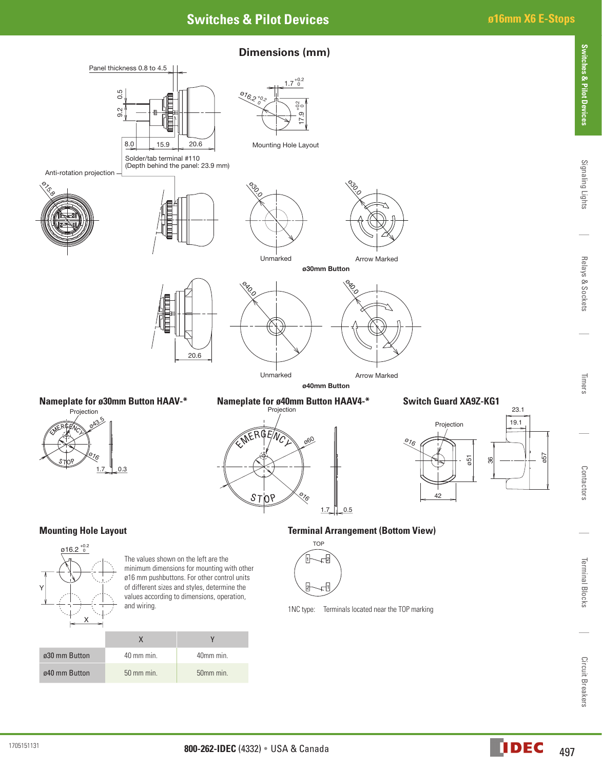# **Switches & Pilot Devices ø16mm X6 E-Stops**

**Switches & Pilot Devices**



Contactors

Terminal Blocks

ø40 mm Button 50 mm min. 50mm min.